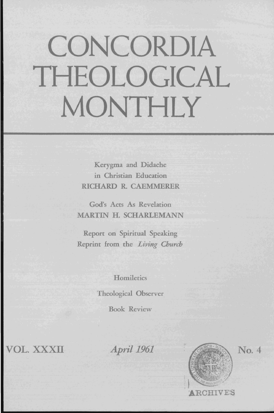## **CONCORDIA THEOLOGICAL MONTHLY**

Kerygma and Didache in Christian Education RICHARD R. CAEMMERER

God's Acts As Revelation MARTIN H. SCHARLEMANN

Report on Spiritual Speaking Reprint from the *Living Church* 

**Homiletics** 

Theological Observer

Book Review

VOL. XXXII

*April* 1961



No. 4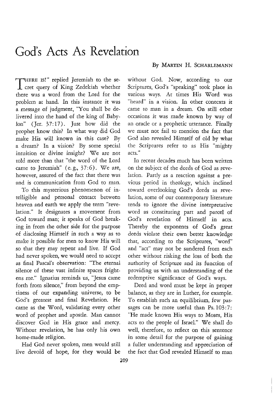## God's Acts As Revelation

**THERE IS!"** replied Jeremiah to the secret query of King Zedekiah whether there was a word from the Lord for the problem at hand. In this instance it was a message of judgment, 'You shall be delivered into the hand of the king of Baby $lon''$  (Jer. 37:17). Just how did the prophet know this? **In** what way did God make His will known in this case? By a dream? In a vision? By some special intuition or divine insight? We are not told more than that "the word of the Lord came to Jeremiah" (e.g.,  $37:6$ ). We are, however, assured of the fact that there was and is communication from God to man.

To this mysterious phenomenon of intelligible and personal contact between heaven and earth we apply the term "revelation." It designates a movement from God toward man; it speaks of God breaking in from the other side for the purpose of disclosing Himself in such a way as to make it possible for men to know His will so that they may repent and live. If God had never spoken, we would need to accept as final Pascal's observation: "The eternal silence of these vast infinite spaces frightens me." Ignatius reminds us, "Jesus came forth from silence," from beyond the emptiness of our expanding universe, to be God's greatest and final Revelation. He came as the Word, validating every other word of prophet and apostle. Man cannot discover God in His grace and mercy. Without revelation, he has only his own home-made religion.

Had God never spoken, men would still live devoid of hope, for they would be

## By MARTIN H. SCHARLEMANN

without God. Now, according to our Scriptures, God's "speaking" took place in various ways. At times His Word was "heard" in a vision. In other contexts it came to man in a dream. **On** still other occasions it was made known by way of an oracle or a prophetic utterance. Finally we must not fail to mention the fact that God also revealed Himself of old by what the Scriptures refer to as His "mighty acts."

In recent decades much has been written on the subject of the deeds of God as revelation. Partly as a reaction against a previous period in theology, which inclined toward overlooking God's deeds as revelation, some of our contemporary literature tends to ignore the divine interpretative word as constituting part and parcel of God's revelation of Himself in acts. Thereby the exponents of God's great deeds violate their own better knowledge that, according to the Scriptures, "word" and "act" may not be sundered from each other without risking the loss of both the authority of Scripture and its function of providing us with an understanding of the redemptive significance of God's ways.

Deed and word must be kept in proper balance, as they are in Luther, for example. To establish such an equilibrium, few passages can be more useful than Ps. 103:7: "He made known His ways to Moses, His acts to the people of Israel." We shall do well, therefore, to reflect on this sentence in some detail for the purpose of gaining a fuller understanding and appreciation of the fact that God revealed Himself to man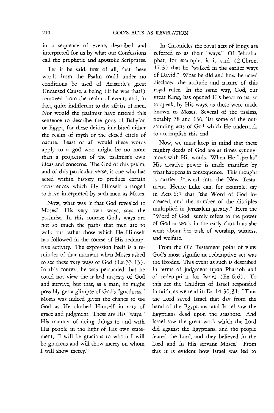in a sequence of events described and interpreted for us by what our Confessions call the prophetic and apostolic Scriptures.

Let it be said, first of all, that these words from the Psalm could under no conditions be used of Aristotle's great Uncaused Cause, a being (if he was that!) removed from the realm of events and, in fact, quite indifferent to the affairs of men. Nor would the psalmist have uttered this sentence to describe the gods of Babylon or Egypt, for these deities inhabited either the realm of myth or the closed circle of nature. Least of all would these words apply to a god who might be no more than a projection of the psalmist's own ideas and concerns. The God of this psalm, and of this particular verse, is one who has acted within history to produce certain occurrences which He Himself arranged to have interpreted by such men as Moses.

Now, what was it that God revealed to Moses? His very own ways, says the psalmist. In this context God's ways are not so much the paths that men are to walk but rather those which He Himself has followed in the course of His redemptive activity. The expression itself is a reminder of that moment when Moses asked to see these very ways of God (Ex. 33: 13) . In this context he was persuaded that he could not view the naked majesty of God and survive, but that, as a man, he might possibly get a glimpse of God's "goodness." Moses was indeed given the chance to see God as He clothed Himself in acts of grace and judgment. These are His "ways," His manner of doing things to and with His people in the light of His own statement, "I will be gracious to whom I will be gracious and will show mercy on whom I will show mercy."

In Chronicles the royal acts of kings are referred to as their "ways." Of Jehoshaphat, for example, it is said (2 Chron.  $17:3$ ) that he "walked in the earlier ways of David." What he did and how he acted disclosed the attitude and nature of this royal ruler. In the same way, God, our great King, has opened His heart to us, so to speak, by His ways, as these were made known to Moses. Several of the psalms, notably 78 and 136, list some of the outstanding acts of God which He undertook to accomplish this end.

Now, we must keep in mind that these mighty deeds of God are at times synonymous with His words. When He "speaks" His creative power is made manifest by what happens in consequence. This thought is carried forward into the New Testament. Hence Luke can, for example, say in Acts 6:7 that "the Word of God increased, and the number of the disciples multiplied in Jerusalem greatly." Here the "Word of God" surely refers to the power of God at work in the early church as she went about her task of worship, witness, and welfare.

From the Old Testament point of view God's most significant redemptive act was the Exodus. This event as such is described in terms of judgment upon Pharaoh and of redemption for Israel (Ex. 6:6). To this act the Children of Israel responded in faith, as we read in Ex. 14:30, 31: "Thus the Lord saved Israel that day from the hand of the Egyptians, and Israel saw the Egyptians dead upon the seashore. And Israel saw the great work which the Lord did against the Egyptians, and the people feared the Lord, and they believed in the Lord and in His servant Moses." From this it is evident how Israel was led to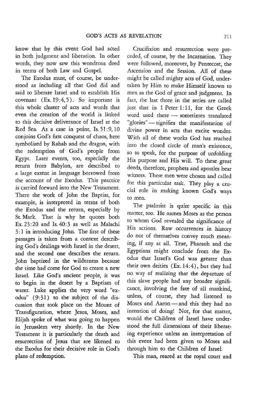know that by this event God had acted in both judgment and liberation. In other words, they now saw this wondrous deed in terms of both Law and Gospel.

The Exodus must, of course, be understood as including all that God did and said to liberate Israel and to establish His covenant  $(Ex. 19:4, 5)$ . So important is this whole cluster of acts and words that even the creation of the world is linked to this decisive deliverance of Israel at the Red Sea. As a case in point, Is. 51:9, 10 conjoins God's first conquest of chaos, here symbolized by Rahab and the dragon, with the redemption of God's people from Egypt. Later events, too, especially the return from Babylon, are described to a large extent in language borrowed from the account of the Exodus. This practice is carried forward into the New Testament. There the work of John the Baptist, for example, is interpreted in terms of both the Exodus and the return, especially by St. Mark. That is why he quotes both Ex.  $23:20$  and Is.  $40:3$  as well as Malachi 3: 1 in introducing John. The first of these passages is taken from a context describing God's dealings with Israel in the desert, and the second one describes the return. John baptized in the wilderness because the time had come for God to create a new Israel. Like God's ancient people, it was to begin in the desert by a Baptism of water. Luke applies the very word "exodus" (9:31) to the subject of the discussion that took place on the Mount of Transfiguration, where Jesus, Moses, and Elijah spoke of what was going to happen in Jerusalem very shortly. In the New Testament it is particularly the death and resurrection of Jesus that are likened to the Exodus for their decisive role in God's plans of redemption.

Crucifixion and resurrection were preceded, of course, by the Incarnation. They were followed, moreover, by Pentecost, the Ascension and the Session. All of these might be called mighty acts of God, undertaken by Him to make Himself known to men as the God of grace and judgment. In fact, the last three in the series are called just that in 1 Peter 1: 11, for the Greek word used there - sometimes translated "glories" - signifies the manifestation of divine power in acts that excite wonder. With all of these works God has reached into the closed circle of man's existence, so to speak, for the purpose of unfolding His purpose and His will. To these great deeds, therefore, prophets and apostles bear witness. These men were chosen and called for this particular task. They play a crucial role in making known God's ways to men.

The psalmist is quite specific in this matter, too. He names Moses as the person to whom God revealed the significance of His actions. Raw occurrences in history do not of themselves convey much meaning, if any at all. True, Pharaoh and the Egyptians might conclude from the Exodus that Israel's God was greater than their own deities (Ex. 14:4), but they had no way of realizing that the departure of this slave people had any broader significance, involving the fate of all mankind, unless, of course, they had listened to Moses and Aaron-and this they had no intention of doing! Nor, for that matter, would the Children of Israel have understood the full dimensions of their liberating experience unless an interpretation of this event had been given to Moses and through him to the Children of Israel.

This man, reared at the royal court and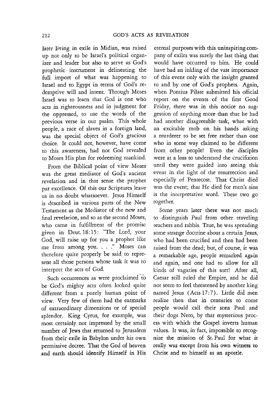later living in exile in Midian, was raised up not only to be Israel's political organizer and leader but also to serve as God's prophetic instrument in delineating the full import of what was happening to Israel and to Egypt in terms of God's redemptive will and intent. Through Moses Israel was to learn that God is one who acts in righteousness and in judgment for the oppressed, to use the words of the previous verse in our psalm. This whole people, a race of slaves in a foreign land, was the special object of God's gracious choice. It could not, however, have come to this awareness, had not God revealed to Moses His plan for redeeming mankind.

From the Biblical point of view Moses was the great mediator of God's ancient revelation and in that sense the prophet par excellence. Of this our Scriptures leave us in no doubt whatsoever. Jesus Himself is described in various parts of the New Testament as the Mediator of the new and final revelation, and so as the second Moses, who came in fulfillment of the promise given in Deut. 18:15: "The Lord, your God, will raise up for you a prophet like me from among you. . . ." Moses can therefore quite properly be said to represent all those persons whose task it was to interpret the acts of God.

Such occurrences as were proclaimed to be God's mighty acts often looked quite different from a purely human point of view. Very few of them had the earmarks of extraordinary dimensions or of special splendor. King Cyrus, for example, was most certainly not impressed by the small number of Jews that returned to Jerusalem from their exile in Babylon under his own permissive decree. That the God of heaven and earth should identify Himself in His

eternal purposes with this uninspiring company of exiles was surely the last thing that would have occurred to him. He could have had an inkling of the vast importance of this event only with the insight granted to and by one of God's prophets. Again, when Pontius Pilate submitted his official report on the events of the first Good Friday, there was in this notice no suggestion of anything more than that he had had another disagreeable task, what with an excitable mob on his hands asking a murderer to be set free rather than one who in some way claimed to be different from other people! Even the disciples were at a loss to understand the crucifixion until they were guided into seeing this event in the light of the resurrection and especially of Pentecost. That Christ died was the event; that He died for men's sins is the interpretative word. These two go together.

Some years later there was not much to distinguish Paul from other traveling teachers and rabbis. True, he was spreading some strange doctrine about a certain Jesus, who had been crucified and then had been raised from the dead; but, of course, it was a remarkable age, people remarked again and again, and one had to allow for all kinds of vagaries of this sort! After all, Caesar still ruled the Empire, and he did not seem to feel threatened by another king named Jesus (Acts 17:7). Little did men realize then that in centuries to come people would call their sons Paul and their dogs Nero, by that mysterious process with which the Gospel inverts human values. It was, in fact, impossible to recognize the mission of St. Paul for what it really was except from his own witness to Christ and to himself as an apostle.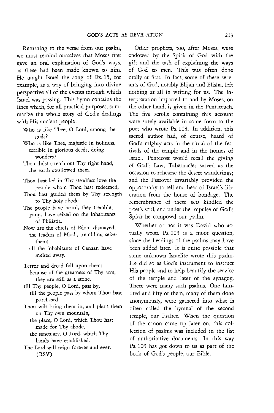Returning to the verse from our psalm, we must remind ourselves that Moses first gave an oral explanation of God's ways, as these had been made known to him. He taught Israel the song of Ex. 15, for example, as a way of bringing into divine perspective all of the events through which Israel was passing. This hymn contains the lines which, for all practical purposes, summarize the whole story of God's dealings with His ancient people:

- Who is like Thee, 0 Lord, among the gods?
- Who is like Thee, majestic in holiness, terrible in glorious deeds, doing wonders?
- Thou didst stretch out Thy right hand, *tbe* earth swallowed them.
- Thou hast led in Thy steadfast love the people whom Thou hast redeemed,
- Thou hast guided them by Thy strength to Thy holy abode.
- The people have heard, they tremble; pangs have seized on the inhabitants of Philistia.
- Now are the chiefs of Edam dismayed; the leaders of Moab, trembling seizes them;
	- all the inhabitants of Canaan have melted away.
- Terror and dread fall upon them; because of the greatness of Thy arm, they are still as a stone,
- till Thy people, 0 Lord, pass by, till the people pass by whom Thou hast purchased.
- Thou wilt bring them in, and plant them on Thy own mountain,
	- the place, 0 Lord, which Thou hast made for Thy abode,
	- the sanctuary, 0 Lord, which Thy hands have established.
- The Lord will reign forever and ever. (RSV)

Other prophets, too, after Moses, were endowed by the Spirit of God with the gift and the task of explaining the ways of God to men. This was often done orally at first. In fact, some of these servants of God, notably Elijah and Elisha, left nothing at all in writing for us. The interpretation imparted to and by Moses, on the other hand, is given in the Pentateuch. The five scrolls containing this account were surely available in some form to the poet who wrote Ps. 103. In addition, this sacred author had, of course, heard of God's mighty acts in the ritual of the festivals of the temple and in the homes of Israel. Pentecost would recall the giving of God's Law; Tabernacles served as the occasion to rehearse the desert wanderings; and the Passover invariably provided the opportunity to tell and hear of Israel's liberation from the house of bondage. The remembrance of these acts kindled the poet's soul, and under the impulse of God's Spirit he composed our psalm.

Whether or not it was David who actually wrote Ps.I03 is a moot question, since the headings of the psalms may have been added later. It is quite possible that some unknown Israelite wrote this psalm. He did so as God's instrument to instruct His people and to help beautify the service of the temple and later of the synagog. There were many such psalms. One hundred and fifty of them, many of them done anonymously, were gathered into what is often called the hymnal of the second temple, our Psalter. When the question of the canon came up later on, this collection of psalms was. included in the list of authoritative documents. In this way Ps.I03 has got down to us as part of the book of God's people, our Bible.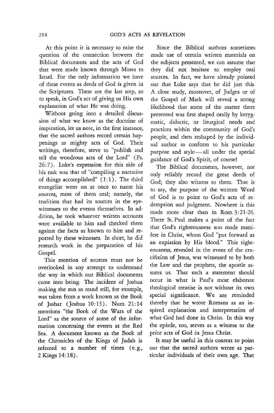At this point it is necessary to raise the question of the connection between the Biblical documents and the acts of God that were made known through Moses to Israel. For the only information we have of these events as deeds of God is given in the Scriptures. These are the last step, so to speak, in God's act of giving us His own explanation of what He was doing.

Without going into a detailed discussion of what we know as the doctrine of inspiration, let us note, in the first instance, that the sacred authors record certain happenings as mighty acts of God. Their writings, therefore, serve to "publish and tell the wondrous acts of the Lord" (Ps. 26: 7). Luke's expression for this side of his task was that of "compiling a narrative of things accomplished"  $(1:1)$ . The third evangelist went on at once to name his sources, most of them oral; namely, the tradition that had its sources in the eyewitnesses to the events themselves. In addition, he took whatever written accounts were available to him and checked them against the facts as known to him and reported by these witnesses. In short, he did research work in the preparation of his Gospel.

This mention of sources must not be overlooked in any attempt to understand the way in which our Biblical documents came into being. The incident of Joshua making the sun to stand still, for example, was taken from a work known as the Book of Jashar (Joshua 10:13). Num.21:14 mentions "the Book of the Wars of the Lord" as the source of some of the information concerning the events at the Red Sea. A document known as the Book of the Chronicles of the Kings of Judah is referred to a number of times (e. g., 2 Kings 14: 18).

Since the Biblical authors sometimes made use of certain written materials on the subjects presented, we can assume that they did not hesitate to employ oral sources. In fact, we have already pointed out that Luke says that he did just this. A close study, moreover, of Judges or of the Gospel of Mark will reveal a strong likelihood that some of the matter there presented was first shaped orally by kerygmatic, didactic, or liturgical needs and practices within the community of God's people, and then reshaped by the individual author to conform to his particular purpose and  $style$   $\rightarrow$  all under the special guidance of God's Spirit, of course!

The Biblical documents, however, not only reliably record the great deeds of God; they also witness to them. That is to say, the purpose of the written Word of God is to point to God's acts of redemption and judgment. Nowhere is this made more clear than in Rom. 3:21-26. There St. Paul makes a point of the fact that God's righteousness was made manifest in Christ, whom God "put forward as an expiation by His blood." This righteousness, revealed in the event of the crucifixion of Jesus, was witnessed to by both the Law and the prophets, the apostle assures us. That such a statement should occur in what is Paul's most elaborate theological treatise is not without its own special significance. We are reminded thereby that he wrote Romans as an inspired explanation and interpretation of what God had done in Christ. In this way the epistle, too, serves as a witness to the prior acts of God in Jesus Christ.

**It** may be useful in this context to point out that the sacred authors wrote as particular individuals of their own age. That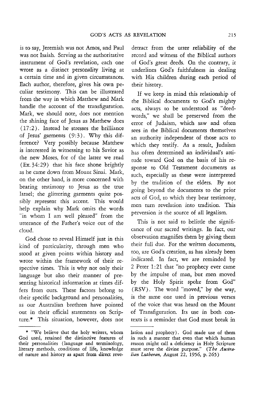is to say, Jeremiah was not Amos, and Paul was not Isaiah. Serving as the authoritative instrument of God's revelation, each one wrote as a distinct personality living at a certain time and in given circumstances. Each author, therefore, gives his own peculiar testimony. This can be illustrated from the way in which Matthew and Mark handle the account of the transfiguration. Mark, we should note, does not mention the shining face of Jesus as Matthew does  $(17:2)$ . Instead he stresses the brilliance of Jesus' garments (9:3). Why this difference? Very possibly because Matthew is interested in witnessing to his Savior as the new Moses, for of the latter we read (Ex.34:29) that his face shone brightly as he came down from Mount Sinai. Mark, on the other hand, is more concerned with bearing testimony to Jesus as the true Israel; the glittering garments quite possibly represent this accent. This would help explain why Mark omits the words "in whom I am well pleased" from the utterance of the Father's voice out of the cloud.

God chose to reveal Himself just in this kind of particularity, through men who stood at given points within history and wrote within the framework of their respective times. This is why not only their language but also their manner of presenting historical information at times differs from ours. These factors belong to their specific background and personalities, as our Australian brethren have pointed out in their official statements on Scripture.\* This situation, however, does not detract from the utter reliability of the **record and witness of the Biblical authors**  of God's great deeds. On the contrary, it underlines God's faithfulness in dealing with His children during each period of their history.

If we keep in mind this relationship of the Biblical documents to God's mighty acts, always to be understood as "deedwords," we shall be preserved from the error of Judaism, which saw and often sees in the Biblical documents themselves an authority independent of those acts to which they testify. As a result, Judaism has often determined an individual's attitude toward God on the basis of his response to Old Testament documents as such, especially as these were interpreted by the tradition of the elders. By not going beyond the documents to the prior acts of God, to which they bear testimony, men turn revelation into tradition. This perversion is the source of all legalism.

This is not said to belittle the significance of our sacred writings. In fact, our observation magnifies them by giving them their full due. For the written documents, too, are God's creation, as has already been indicated. In fact, we are reminded by 2 Peter 1:21 that "no prophecy ever came by the impulse of man, but men moved by the Holy Spirit spoke from God" (RSV). The word "moved," by the way, is the same one used in previous verses of the voice that was heard on the Mount of Transfiguration. Its use in both contexts is a reminder that God must break in

<sup>\* &</sup>quot;We believe that the holy writers, whom God used, retained the distinctive features of their personalities (language and terminology, literary methods, conditions of life, knowledge of nature and history as apart from direct reve-

lation and prophecy). God made use of them in such a manner that even that which human reason might call a deficiency in Holy Scripture must serve the divine purpose." *(The Australian Lutheran,* August 22, 1956, p. 265)